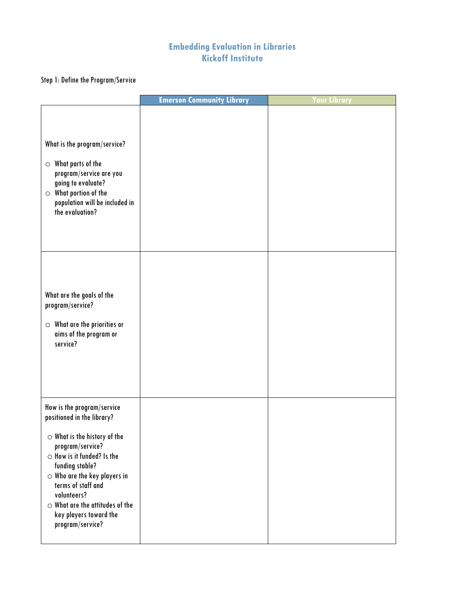# **Embedding Evaluation in Libraries Kickoff Institute**

# Step 1: Define the Program/Service

|                                                                                                                                                                                                                                                                                                                                             | <b>Emerson Community Library</b> | four Library |
|---------------------------------------------------------------------------------------------------------------------------------------------------------------------------------------------------------------------------------------------------------------------------------------------------------------------------------------------|----------------------------------|--------------|
| What is the program/service?<br>$\circ$ What parts of the<br>program/service are you<br>going to evaluate?<br>$\circ$ What portion of the<br>population will be included in<br>the evaluation?                                                                                                                                              |                                  |              |
| What are the goals of the<br>program/service?<br>$\circ$ What are the priorities or<br>aims of the program or<br>service?                                                                                                                                                                                                                   |                                  |              |
| How is the program/service<br>positioned in the library?<br>$\circ$ What is the history of the<br>program/service?<br>$\circ$ How is it funded? Is the<br>funding stable?<br>$\circ$ Who are the key players in<br>terms of staff and<br>volunteers?<br>$\circ$ What are the attitudes of the<br>key players toward the<br>program/service? |                                  |              |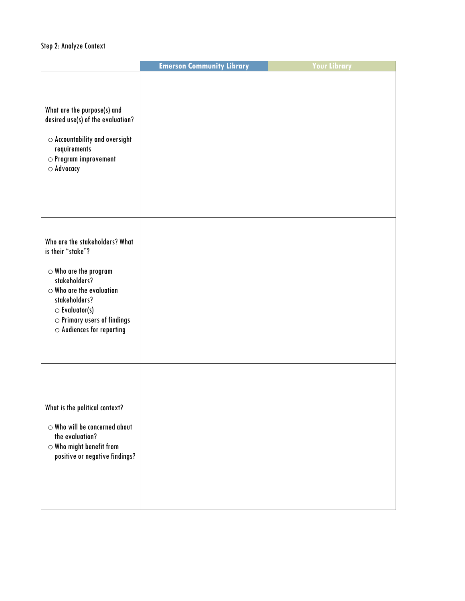#### Step 2: Analyze Context

|                                                                                                                                                                                                                                                        | <b>Emerson Community Library</b> | four Library |
|--------------------------------------------------------------------------------------------------------------------------------------------------------------------------------------------------------------------------------------------------------|----------------------------------|--------------|
| What are the purpose(s) and<br>desired use(s) of the evaluation?<br>$\circ$ Accountability and oversight<br>requirements<br>$\circ$ Program improvement<br>$\circ$ Advocacy                                                                            |                                  |              |
| Who are the stakeholders? What<br>is their "stake"?<br>$\circ$ Who are the program<br>stakeholders?<br>$\circ$ Who are the evaluation<br>stakeholders?<br>$\circ$ Evaluator(s)<br>$\circ$ Primary users of findings<br>$\circ$ Audiences for reporting |                                  |              |
| What is the political context?<br>$\circ$ Who will be concerned about<br>the evaluation?<br>$\circ$ Who might benefit from<br>positive or negative findings?                                                                                           |                                  |              |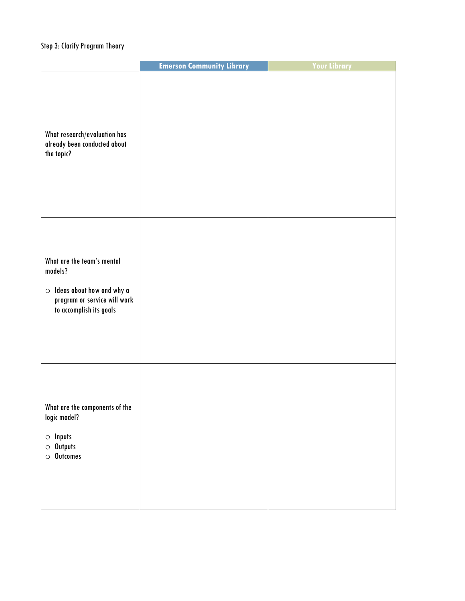### Step 3: Clarify Program Theory

|                                                                                                                                       | <b>Emerson Community Library</b> | <b>Your Library</b> |
|---------------------------------------------------------------------------------------------------------------------------------------|----------------------------------|---------------------|
| What research/evaluation has<br>already been conducted about<br>the topic?                                                            |                                  |                     |
| What are the team's mental<br>models?<br>$\circ$ Ideas about how and why a<br>program or service will work<br>to accomplish its goals |                                  |                     |
| What are the components of the<br>logic model?<br>$\circ$ Inputs<br>$\circ$ Outputs<br>$\circ$ Outcomes                               |                                  |                     |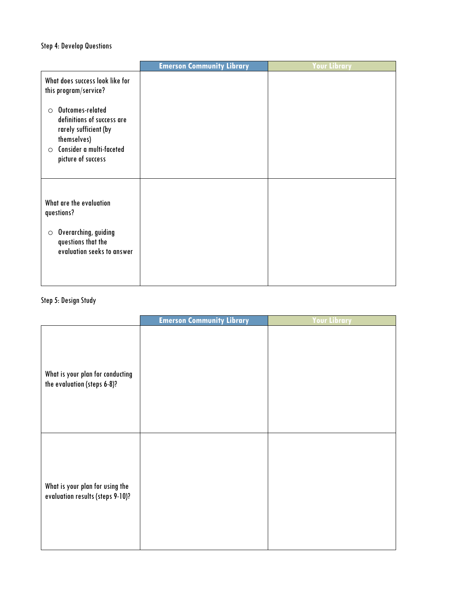#### Step 4: Develop Questions

|                                                                                                                                                                | <b>Emerson Community Library</b> | <b>Your Library</b> |
|----------------------------------------------------------------------------------------------------------------------------------------------------------------|----------------------------------|---------------------|
| What does success look like for<br>this program/service?                                                                                                       |                                  |                     |
| Outcomes-related<br>$\circ$<br>definitions of success are<br>rarely sufficient (by<br>themselves)<br>Consider a multi-faceted<br>$\circ$<br>picture of success |                                  |                     |
| What are the evaluation<br>questions?<br>Overarching, guiding<br>$\circ$<br>questions that the<br>evaluation seeks to answer                                   |                                  |                     |
|                                                                                                                                                                |                                  |                     |

### Step 5: Design Study

|                                                                     | <b>Emerson Community Library</b> | <b>Your Library</b> |
|---------------------------------------------------------------------|----------------------------------|---------------------|
| What is your plan for conducting<br>the evaluation (steps 6-8)?     |                                  |                     |
| What is your plan for using the<br>evaluation results (steps 9-10)? |                                  |                     |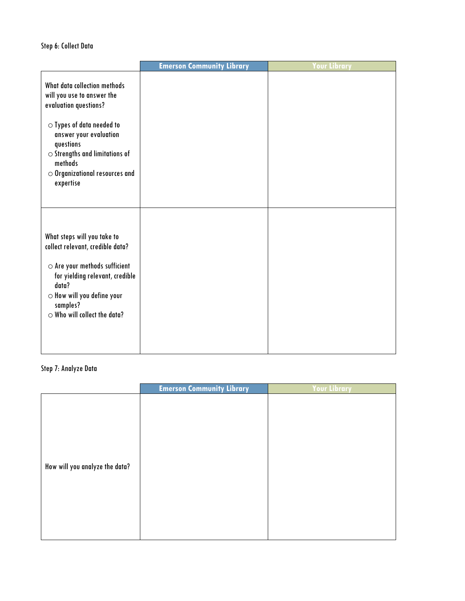#### Step 6: Collect Data

|                                                                                                                                                                                                                                          | <b>Emerson Community Library</b> | Your Library |
|------------------------------------------------------------------------------------------------------------------------------------------------------------------------------------------------------------------------------------------|----------------------------------|--------------|
| What data collection methods<br>will you use to answer the<br>evaluation questions?                                                                                                                                                      |                                  |              |
| $\circ$ Types of data needed to<br>answer your evaluation<br>questions<br>$\circ$ Strengths and limitations of<br>methods<br>$\circ$ Organizational resources and<br>expertise                                                           |                                  |              |
| What steps will you take to<br>collect relevant, credible data?<br>$\circ$ Are your methods sufficient<br>for yielding relevant, credible<br>data?<br>$\circ$ How will you define your<br>samples?<br>$\circ$ Who will collect the data? |                                  |              |

#### Step 7: Analyze Data

|                                | <b>Emerson Community Library</b> | Your Library |
|--------------------------------|----------------------------------|--------------|
| How will you analyze the data? |                                  |              |